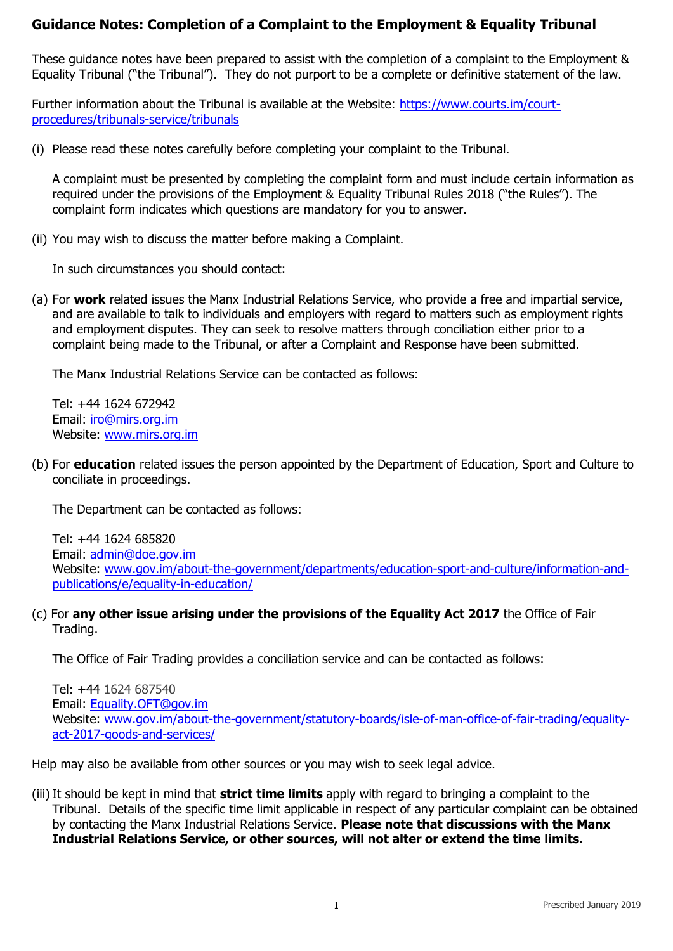# **Guidance Notes: Completion of a Complaint to the Employment & Equality Tribunal**

These guidance notes have been prepared to assist with the completion of a complaint to the Employment & Equality Tribunal ("the Tribunal"). They do not purport to be a complete or definitive statement of the law.

Further information about the Tribunal is available at the Website: [https://www.courts.im/court](https://www.courts.im/court-procedures/tribunals-service/tribunals)[procedures/tribunals-service/tribunals](https://www.courts.im/court-procedures/tribunals-service/tribunals)

(i) Please read these notes carefully before completing your complaint to the Tribunal.

A complaint must be presented by completing the complaint form and must include certain information as required under the provisions of the Employment & Equality Tribunal Rules 2018 ("the Rules"). The complaint form indicates which questions are mandatory for you to answer.

(ii) You may wish to discuss the matter before making a Complaint.

In such circumstances you should contact:

(a) For **work** related issues the Manx Industrial Relations Service, who provide a free and impartial service, and are available to talk to individuals and employers with regard to matters such as employment rights and employment disputes. They can seek to resolve matters through conciliation either prior to a complaint being made to the Tribunal, or after a Complaint and Response have been submitted.

The Manx Industrial Relations Service can be contacted as follows:

Tel: +44 1624 672942 Email: [iro@mirs.org.im](mailto:iro@mirs.org.im)  Website: [www.mirs.org.im](http://www.mirs.org.im/) 

(b) For **education** related issues the person appointed by the Department of Education, Sport and Culture to conciliate in proceedings.

The Department can be contacted as follows:

Tel: +44 1624 685820 Email: [admin@doe.gov.im](mailto:admin@doe.gov.im) Website: [www.gov.im/about-the-government/departments/education-sport-and-culture/information-and](http://www.gov.im/about-the-government/departments/education-sport-and-culture/information-and-publications/e/equality-in-education/)[publications/e/equality-in-education/](http://www.gov.im/about-the-government/departments/education-sport-and-culture/information-and-publications/e/equality-in-education/)

(c) For **any other issue arising under the provisions of the Equality Act 2017** the Office of Fair Trading.

The Office of Fair Trading provides a conciliation service and can be contacted as follows:

Tel: +44 1624 687540 Email: [Equality.OFT@gov.im](mailto:Equality.OFT@gov.im) Website: [www.gov.im/about-the-government/statutory-boards/isle-of-man-office-of-fair-trading/equality](http://www.gov.im/about-the-government/statutory-boards/isle-of-man-office-of-fair-trading/equality-act-2017-goods-and-services/)[act-2017-goods-and-services/](http://www.gov.im/about-the-government/statutory-boards/isle-of-man-office-of-fair-trading/equality-act-2017-goods-and-services/) 

Help may also be available from other sources or you may wish to seek legal advice.

(iii)It should be kept in mind that **strict time limits** apply with regard to bringing a complaint to the Tribunal. Details of the specific time limit applicable in respect of any particular complaint can be obtained by contacting the Manx Industrial Relations Service. **Please note that discussions with the Manx Industrial Relations Service, or other sources, will not alter or extend the time limits.**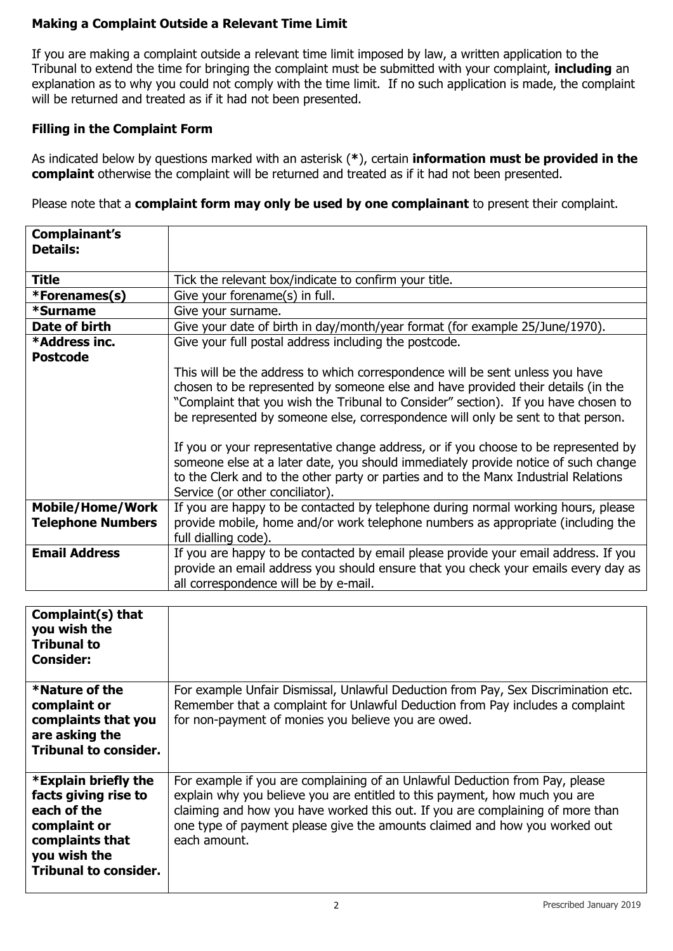## **Making a Complaint Outside a Relevant Time Limit**

If you are making a complaint outside a relevant time limit imposed by law, a written application to the Tribunal to extend the time for bringing the complaint must be submitted with your complaint, **including** an explanation as to why you could not comply with the time limit. If no such application is made, the complaint will be returned and treated as if it had not been presented.

#### **Filling in the Complaint Form**

As indicated below by questions marked with an asterisk (**\***), certain **information must be provided in the complaint** otherwise the complaint will be returned and treated as if it had not been presented.

Please note that a **complaint form may only be used by one complainant** to present their complaint.

| Complainant's            |                                                                                     |  |  |
|--------------------------|-------------------------------------------------------------------------------------|--|--|
| <b>Details:</b>          |                                                                                     |  |  |
|                          |                                                                                     |  |  |
| <b>Title</b>             | Tick the relevant box/indicate to confirm your title.                               |  |  |
| *Forenames(s)            | Give your forename(s) in full.                                                      |  |  |
| *Surname                 | Give your surname.                                                                  |  |  |
| Date of birth            | Give your date of birth in day/month/year format (for example 25/June/1970).        |  |  |
| *Address inc.            | Give your full postal address including the postcode.                               |  |  |
| <b>Postcode</b>          |                                                                                     |  |  |
|                          | This will be the address to which correspondence will be sent unless you have       |  |  |
|                          | chosen to be represented by someone else and have provided their details (in the    |  |  |
|                          | "Complaint that you wish the Tribunal to Consider" section). If you have chosen to  |  |  |
|                          | be represented by someone else, correspondence will only be sent to that person.    |  |  |
|                          |                                                                                     |  |  |
|                          | If you or your representative change address, or if you choose to be represented by |  |  |
|                          |                                                                                     |  |  |
|                          | someone else at a later date, you should immediately provide notice of such change  |  |  |
|                          | to the Clerk and to the other party or parties and to the Manx Industrial Relations |  |  |
|                          | Service (or other conciliator).                                                     |  |  |
| <b>Mobile/Home/Work</b>  | If you are happy to be contacted by telephone during normal working hours, please   |  |  |
| <b>Telephone Numbers</b> | provide mobile, home and/or work telephone numbers as appropriate (including the    |  |  |
|                          | full dialling code).                                                                |  |  |
| <b>Email Address</b>     | If you are happy to be contacted by email please provide your email address. If you |  |  |
|                          | provide an email address you should ensure that you check your emails every day as  |  |  |
|                          | all correspondence will be by e-mail.                                               |  |  |

| Complaint(s) that<br>you wish the<br><b>Tribunal to</b><br><b>Consider:</b>                                                                    |                                                                                                                                                                                                                                                                                                                                            |
|------------------------------------------------------------------------------------------------------------------------------------------------|--------------------------------------------------------------------------------------------------------------------------------------------------------------------------------------------------------------------------------------------------------------------------------------------------------------------------------------------|
| *Nature of the<br>complaint or<br>complaints that you<br>are asking the<br><b>Tribunal to consider.</b>                                        | For example Unfair Dismissal, Unlawful Deduction from Pay, Sex Discrimination etc.<br>Remember that a complaint for Unlawful Deduction from Pay includes a complaint<br>for non-payment of monies you believe you are owed.                                                                                                                |
| *Explain briefly the<br>facts giving rise to<br>each of the<br>complaint or<br>complaints that<br>you wish the<br><b>Tribunal to consider.</b> | For example if you are complaining of an Unlawful Deduction from Pay, please<br>explain why you believe you are entitled to this payment, how much you are<br>claiming and how you have worked this out. If you are complaining of more than<br>one type of payment please give the amounts claimed and how you worked out<br>each amount. |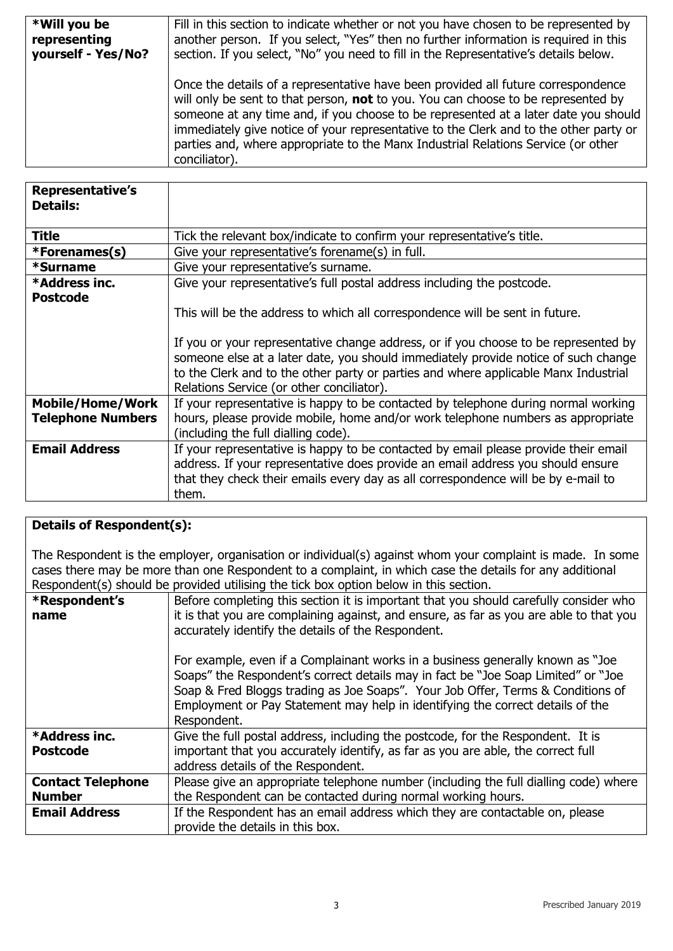| *Will you be       | Fill in this section to indicate whether or not you have chosen to be represented by                                                                                                                                                                                                                                                                                                                                                                                |  |
|--------------------|---------------------------------------------------------------------------------------------------------------------------------------------------------------------------------------------------------------------------------------------------------------------------------------------------------------------------------------------------------------------------------------------------------------------------------------------------------------------|--|
| representing       | another person. If you select, "Yes" then no further information is required in this                                                                                                                                                                                                                                                                                                                                                                                |  |
| yourself - Yes/No? | section. If you select, "No" you need to fill in the Representative's details below.                                                                                                                                                                                                                                                                                                                                                                                |  |
|                    | Once the details of a representative have been provided all future correspondence<br>will only be sent to that person, <b>not</b> to you. You can choose to be represented by<br>someone at any time and, if you choose to be represented at a later date you should<br>immediately give notice of your representative to the Clerk and to the other party or<br>parties and, where appropriate to the Manx Industrial Relations Service (or other<br>conciliator). |  |

| <b>Representative's</b><br><b>Details:</b>          |                                                                                                                                                                                                                                                                                                                                                                                               |  |  |
|-----------------------------------------------------|-----------------------------------------------------------------------------------------------------------------------------------------------------------------------------------------------------------------------------------------------------------------------------------------------------------------------------------------------------------------------------------------------|--|--|
| Title                                               | Tick the relevant box/indicate to confirm your representative's title.                                                                                                                                                                                                                                                                                                                        |  |  |
| *Forenames(s)                                       | Give your representative's forename(s) in full.                                                                                                                                                                                                                                                                                                                                               |  |  |
| *Surname                                            | Give your representative's surname.                                                                                                                                                                                                                                                                                                                                                           |  |  |
| *Address inc.                                       | Give your representative's full postal address including the postcode.                                                                                                                                                                                                                                                                                                                        |  |  |
| <b>Postcode</b>                                     | This will be the address to which all correspondence will be sent in future.<br>If you or your representative change address, or if you choose to be represented by<br>someone else at a later date, you should immediately provide notice of such change<br>to the Clerk and to the other party or parties and where applicable Manx Industrial<br>Relations Service (or other conciliator). |  |  |
| <b>Mobile/Home/Work</b><br><b>Telephone Numbers</b> | If your representative is happy to be contacted by telephone during normal working<br>hours, please provide mobile, home and/or work telephone numbers as appropriate<br>(including the full dialling code).                                                                                                                                                                                  |  |  |
| <b>Email Address</b>                                | If your representative is happy to be contacted by email please provide their email<br>address. If your representative does provide an email address you should ensure<br>that they check their emails every day as all correspondence will be by e-mail to<br>them.                                                                                                                          |  |  |

#### **Details of Respondent(s):**

The Respondent is the employer, organisation or individual(s) against whom your complaint is made. In some cases there may be more than one Respondent to a complaint, in which case the details for any additional Respondent(s) should be provided utilising the tick box option below in this section.

|                          | respondence) should be provided admining the tick box option below in this section.                                                                                                                                                                                                                                                                      |  |  |
|--------------------------|----------------------------------------------------------------------------------------------------------------------------------------------------------------------------------------------------------------------------------------------------------------------------------------------------------------------------------------------------------|--|--|
| *Respondent's            | Before completing this section it is important that you should carefully consider who                                                                                                                                                                                                                                                                    |  |  |
| name                     | it is that you are complaining against, and ensure, as far as you are able to that you<br>accurately identify the details of the Respondent.                                                                                                                                                                                                             |  |  |
|                          | For example, even if a Complainant works in a business generally known as "Joe"<br>Soaps" the Respondent's correct details may in fact be "Joe Soap Limited" or "Joe<br>Soap & Fred Bloggs trading as Joe Soaps". Your Job Offer, Terms & Conditions of<br>Employment or Pay Statement may help in identifying the correct details of the<br>Respondent. |  |  |
| *Address inc.            | Give the full postal address, including the postcode, for the Respondent. It is                                                                                                                                                                                                                                                                          |  |  |
| <b>Postcode</b>          | important that you accurately identify, as far as you are able, the correct full                                                                                                                                                                                                                                                                         |  |  |
|                          | address details of the Respondent.                                                                                                                                                                                                                                                                                                                       |  |  |
| <b>Contact Telephone</b> | Please give an appropriate telephone number (including the full dialling code) where                                                                                                                                                                                                                                                                     |  |  |
| <b>Number</b>            | the Respondent can be contacted during normal working hours.                                                                                                                                                                                                                                                                                             |  |  |
| <b>Email Address</b>     | If the Respondent has an email address which they are contactable on, please                                                                                                                                                                                                                                                                             |  |  |
|                          | provide the details in this box.                                                                                                                                                                                                                                                                                                                         |  |  |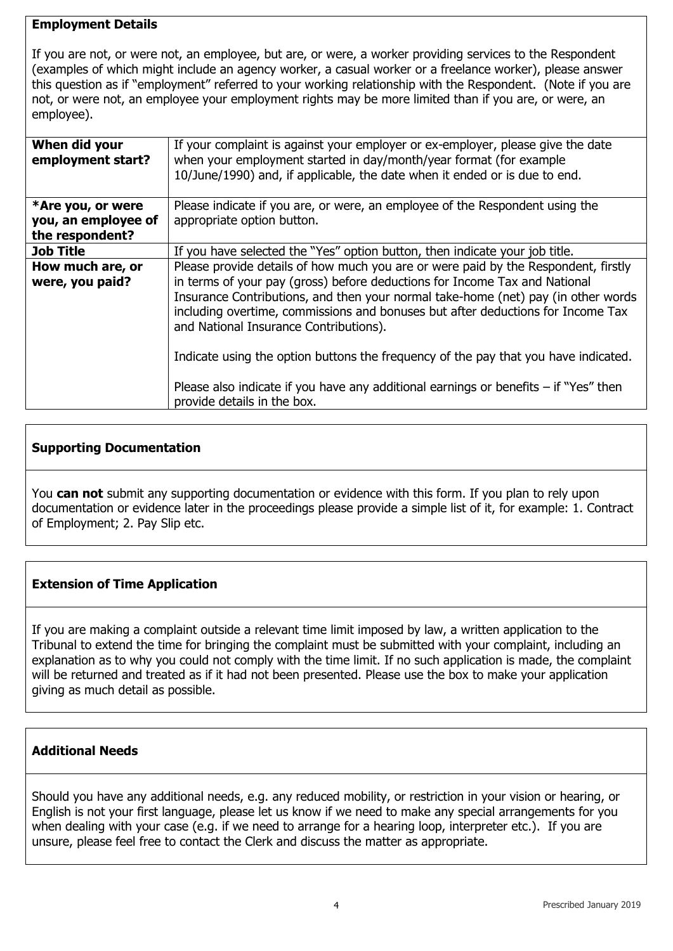#### **Employment Details**

If you are not, or were not, an employee, but are, or were, a worker providing services to the Respondent (examples of which might include an agency worker, a casual worker or a freelance worker), please answer this question as if "employment" referred to your working relationship with the Respondent. (Note if you are not, or were not, an employee your employment rights may be more limited than if you are, or were, an employee).

| When did your<br>employment start? | If your complaint is against your employer or ex-employer, please give the date<br>when your employment started in day/month/year format (for example<br>10/June/1990) and, if applicable, the date when it ended or is due to end.                                                          |  |
|------------------------------------|----------------------------------------------------------------------------------------------------------------------------------------------------------------------------------------------------------------------------------------------------------------------------------------------|--|
| *Are you, or were                  | Please indicate if you are, or were, an employee of the Respondent using the                                                                                                                                                                                                                 |  |
| you, an employee of                | appropriate option button.                                                                                                                                                                                                                                                                   |  |
| the respondent?                    |                                                                                                                                                                                                                                                                                              |  |
| <b>Job Title</b>                   | If you have selected the "Yes" option button, then indicate your job title.                                                                                                                                                                                                                  |  |
| How much are, or                   | Please provide details of how much you are or were paid by the Respondent, firstly                                                                                                                                                                                                           |  |
| were, you paid?                    | in terms of your pay (gross) before deductions for Income Tax and National<br>Insurance Contributions, and then your normal take-home (net) pay (in other words<br>including overtime, commissions and bonuses but after deductions for Income Tax<br>and National Insurance Contributions). |  |
|                                    | Indicate using the option buttons the frequency of the pay that you have indicated.                                                                                                                                                                                                          |  |
|                                    | Please also indicate if you have any additional earnings or benefits $-$ if "Yes" then<br>provide details in the box.                                                                                                                                                                        |  |

## **Supporting Documentation**

You **can not** submit any supporting documentation or evidence with this form. If you plan to rely upon documentation or evidence later in the proceedings please provide a simple list of it, for example: 1. Contract of Employment; 2. Pay Slip etc.

## **Extension of Time Application**

If you are making a complaint outside a relevant time limit imposed by law, a written application to the Tribunal to extend the time for bringing the complaint must be submitted with your complaint, including an explanation as to why you could not comply with the time limit. If no such application is made, the complaint will be returned and treated as if it had not been presented. Please use the box to make your application giving as much detail as possible.

## **Additional Needs**

Should you have any additional needs, e.g. any reduced mobility, or restriction in your vision or hearing, or English is not your first language, please let us know if we need to make any special arrangements for you when dealing with your case (e.g. if we need to arrange for a hearing loop, interpreter etc.). If you are unsure, please feel free to contact the Clerk and discuss the matter as appropriate.